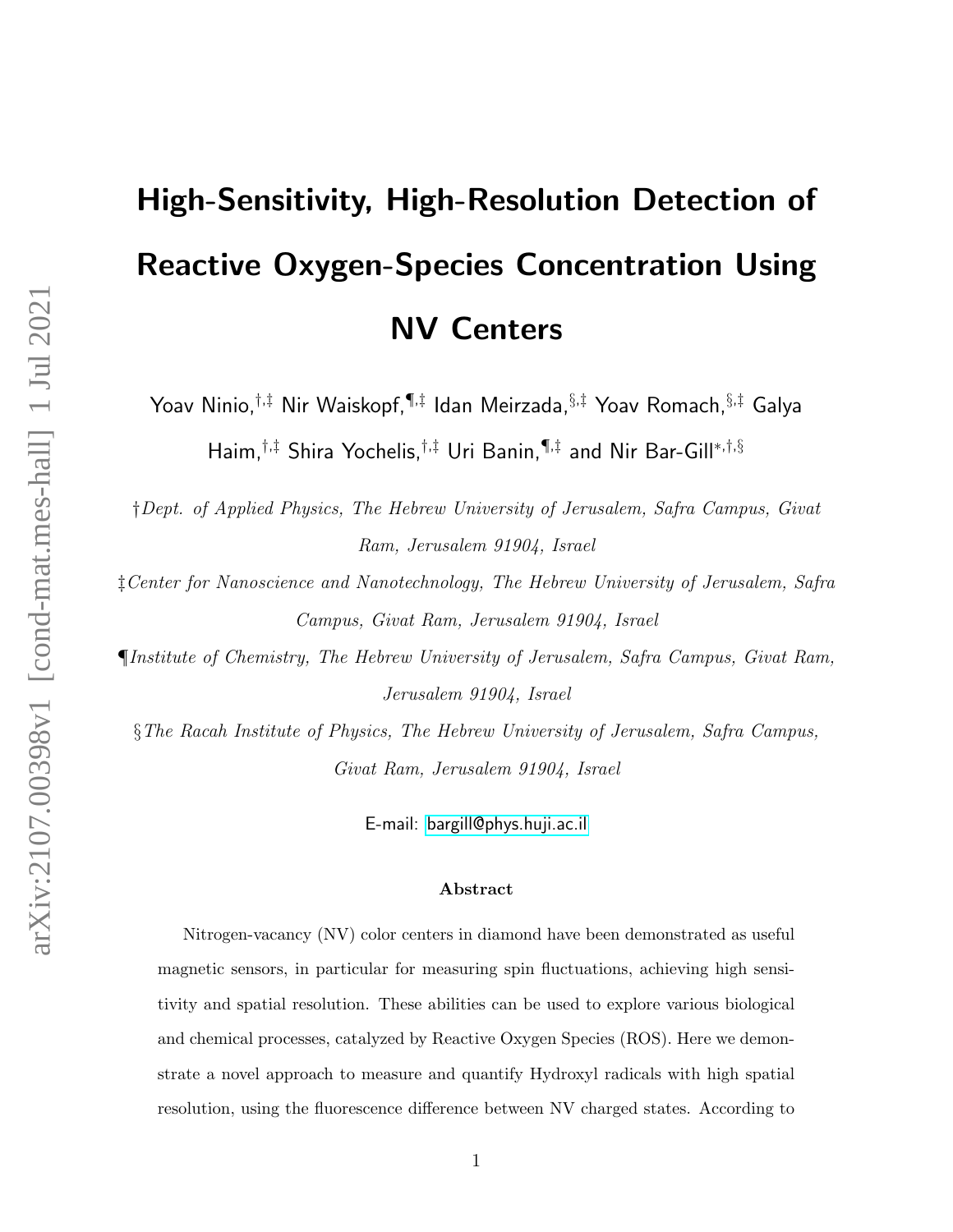# High-Sensitivity, High-Resolution Detection of Reactive Oxygen-Species Concentration Using NV Centers

Yoav Ninio,†,‡ Nir Waiskopf,¶,‡ Idan Meirzada,§,‡ Yoav Romach,§,‡ Galya Haim,†,‡ Shira Yochelis,†,‡ Uri Banin,¶,‡ and Nir Bar-Gill<sup>∗</sup>,†,§

†Dept. of Applied Physics, The Hebrew University of Jerusalem, Safra Campus, Givat Ram, Jerusalem 91904, Israel

‡Center for Nanoscience and Nanotechnology, The Hebrew University of Jerusalem, Safra Campus, Givat Ram, Jerusalem 91904, Israel

¶Institute of Chemistry, The Hebrew University of Jerusalem, Safra Campus, Givat Ram, Jerusalem 91904, Israel

§The Racah Institute of Physics, The Hebrew University of Jerusalem, Safra Campus, Givat Ram, Jerusalem 91904, Israel

E-mail:<bargill@phys.huji.ac.il>

#### Abstract

Nitrogen-vacancy (NV) color centers in diamond have been demonstrated as useful magnetic sensors, in particular for measuring spin fluctuations, achieving high sensitivity and spatial resolution. These abilities can be used to explore various biological and chemical processes, catalyzed by Reactive Oxygen Species (ROS). Here we demonstrate a novel approach to measure and quantify Hydroxyl radicals with high spatial resolution, using the fluorescence difference between NV charged states. According to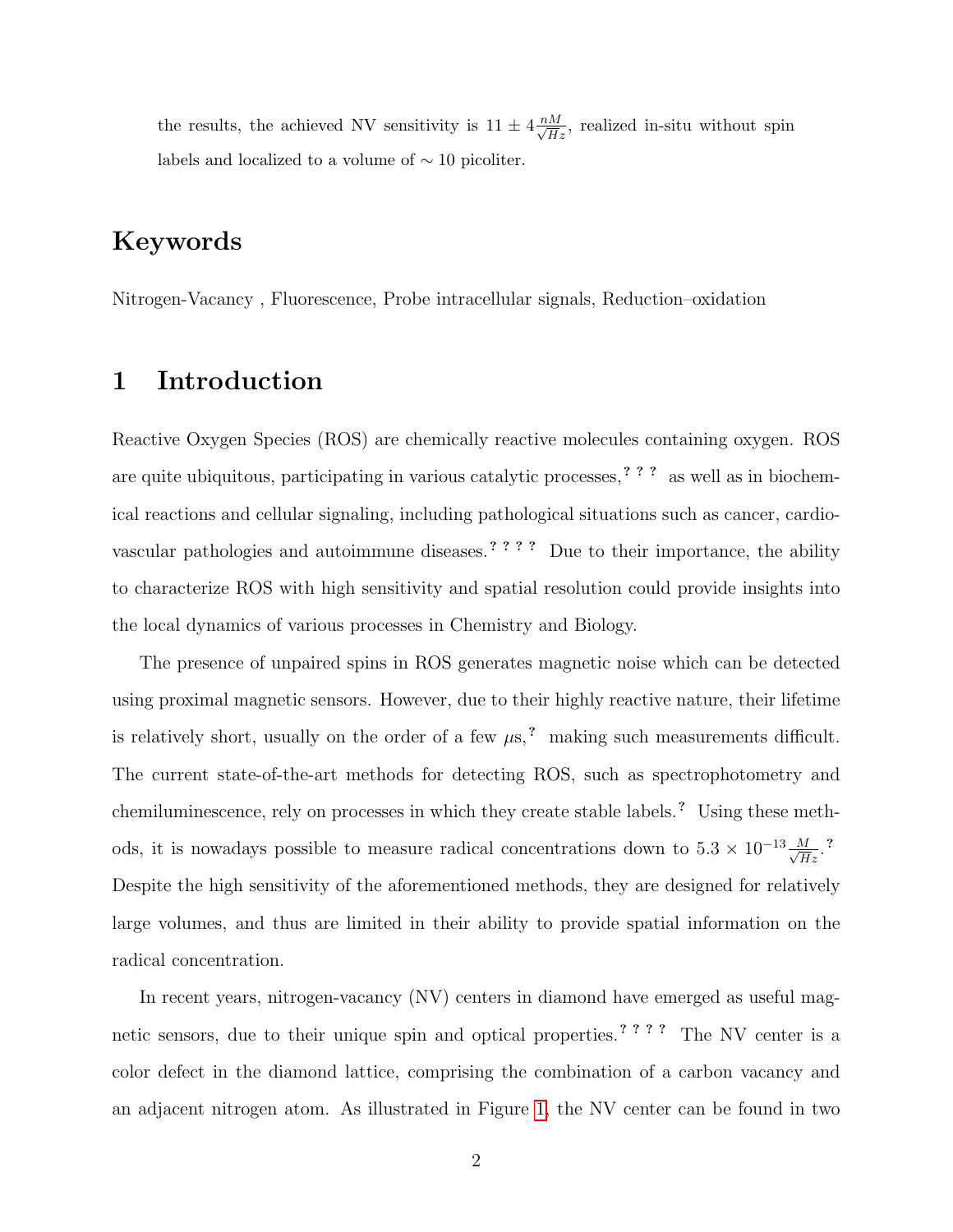the results, the achieved NV sensitivity is  $11 \pm 4 \frac{nM}{\sqrt{H}z}$ , realized in-situ without spin labels and localized to a volume of  $\sim$  10 picoliter.

# Keywords

Nitrogen-Vacancy , Fluorescence, Probe intracellular signals, Reduction–oxidation

### 1 Introduction

Reactive Oxygen Species (ROS) are chemically reactive molecules containing oxygen. ROS are quite ubiquitous, participating in various catalytic processes, ? ? ? as well as in biochemical reactions and cellular signaling, including pathological situations such as cancer, cardiovascular pathologies and autoimmune diseases.? ? ? ? Due to their importance, the ability to characterize ROS with high sensitivity and spatial resolution could provide insights into the local dynamics of various processes in Chemistry and Biology.

The presence of unpaired spins in ROS generates magnetic noise which can be detected using proximal magnetic sensors. However, due to their highly reactive nature, their lifetime is relatively short, usually on the order of a few  $\mu$ s,<sup>?</sup> making such measurements difficult. The current state-of-the-art methods for detecting ROS, such as spectrophotometry and chemiluminescence, rely on processes in which they create stable labels. ? Using these methods, it is nowadays possible to measure radical concentrations down to  $5.3 \times 10^{-13} \frac{M}{\sqrt{Hz}}$ .<sup>2</sup> Despite the high sensitivity of the aforementioned methods, they are designed for relatively large volumes, and thus are limited in their ability to provide spatial information on the radical concentration.

In recent years, nitrogen-vacancy (NV) centers in diamond have emerged as useful magnetic sensors, due to their unique spin and optical properties. ? ? ? ? The NV center is a color defect in the diamond lattice, comprising the combination of a carbon vacancy and an adjacent nitrogen atom. As illustrated in Figure [1,](#page-2-0) the NV center can be found in two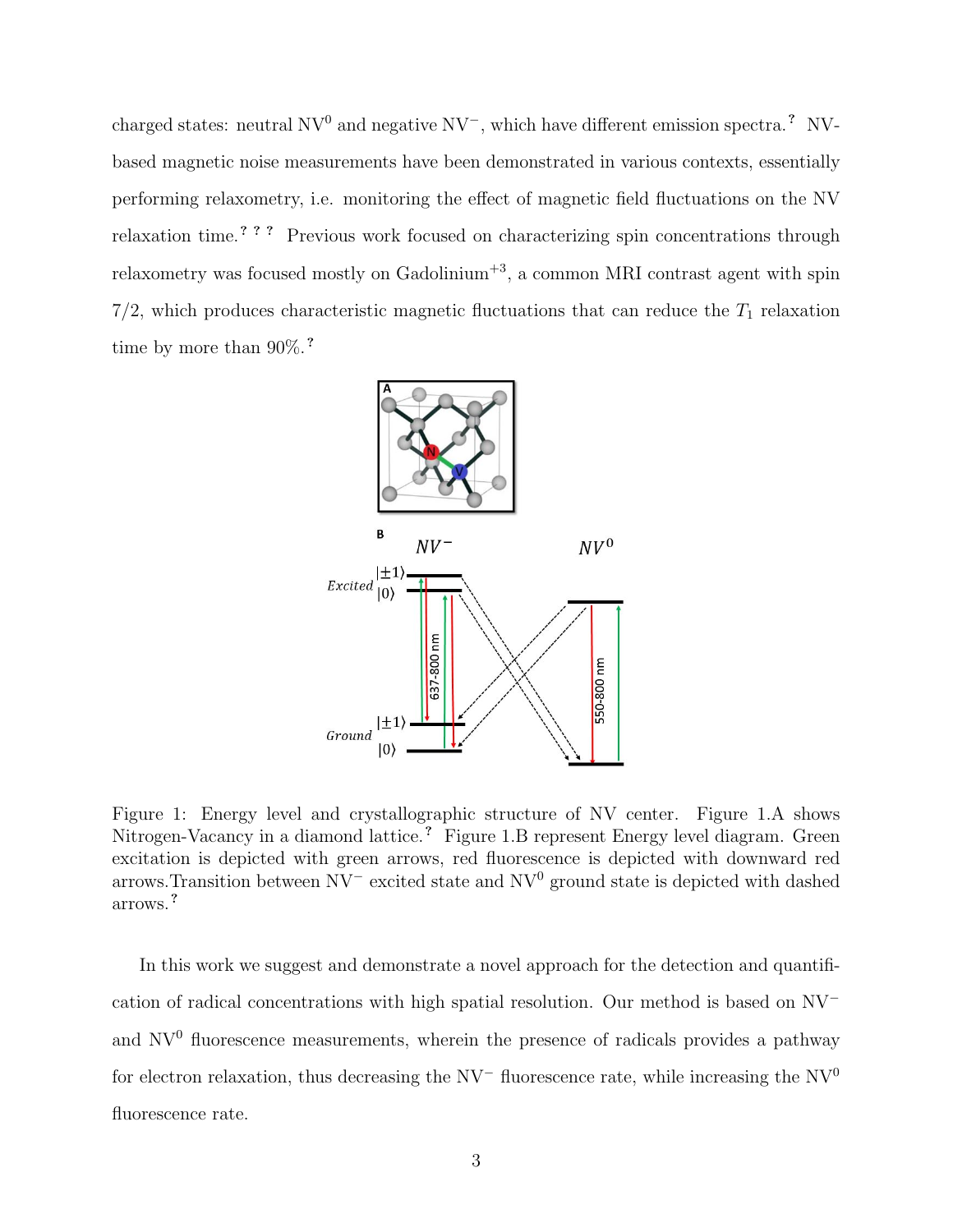charged states: neutral  $\rm NV^0$  and negative  $\rm NV^-$ , which have different emission spectra.<sup>?</sup> NVbased magnetic noise measurements have been demonstrated in various contexts, essentially performing relaxometry, i.e. monitoring the effect of magnetic field fluctuations on the NV relaxation time.? ? ? Previous work focused on characterizing spin concentrations through relaxometry was focused mostly on  $\text{Gadolinium}^{+3}$ , a common MRI contrast agent with spin  $7/2$ , which produces characteristic magnetic fluctuations that can reduce the  $T_1$  relaxation time by more than  $90\%$ .?

<span id="page-2-0"></span>

Figure 1: Energy level and crystallographic structure of NV center. Figure 1.A shows Nitrogen-Vacancy in a diamond lattice.<sup>?</sup> Figure 1.B represent Energy level diagram. Green excitation is depicted with green arrows, red fluorescence is depicted with downward red arrows. Transition between  $\text{NV}^-$  excited state and  $\text{NV}^0$  ground state is depicted with dashed arrows.?

In this work we suggest and demonstrate a novel approach for the detection and quantification of radical concentrations with high spatial resolution. Our method is based on NV<sup>−</sup> and  $\text{NV}^0$  fluorescence measurements, wherein the presence of radicals provides a pathway for electron relaxation, thus decreasing the NV<sup>−</sup> fluorescence rate, while increasing the NV<sup>0</sup> fluorescence rate.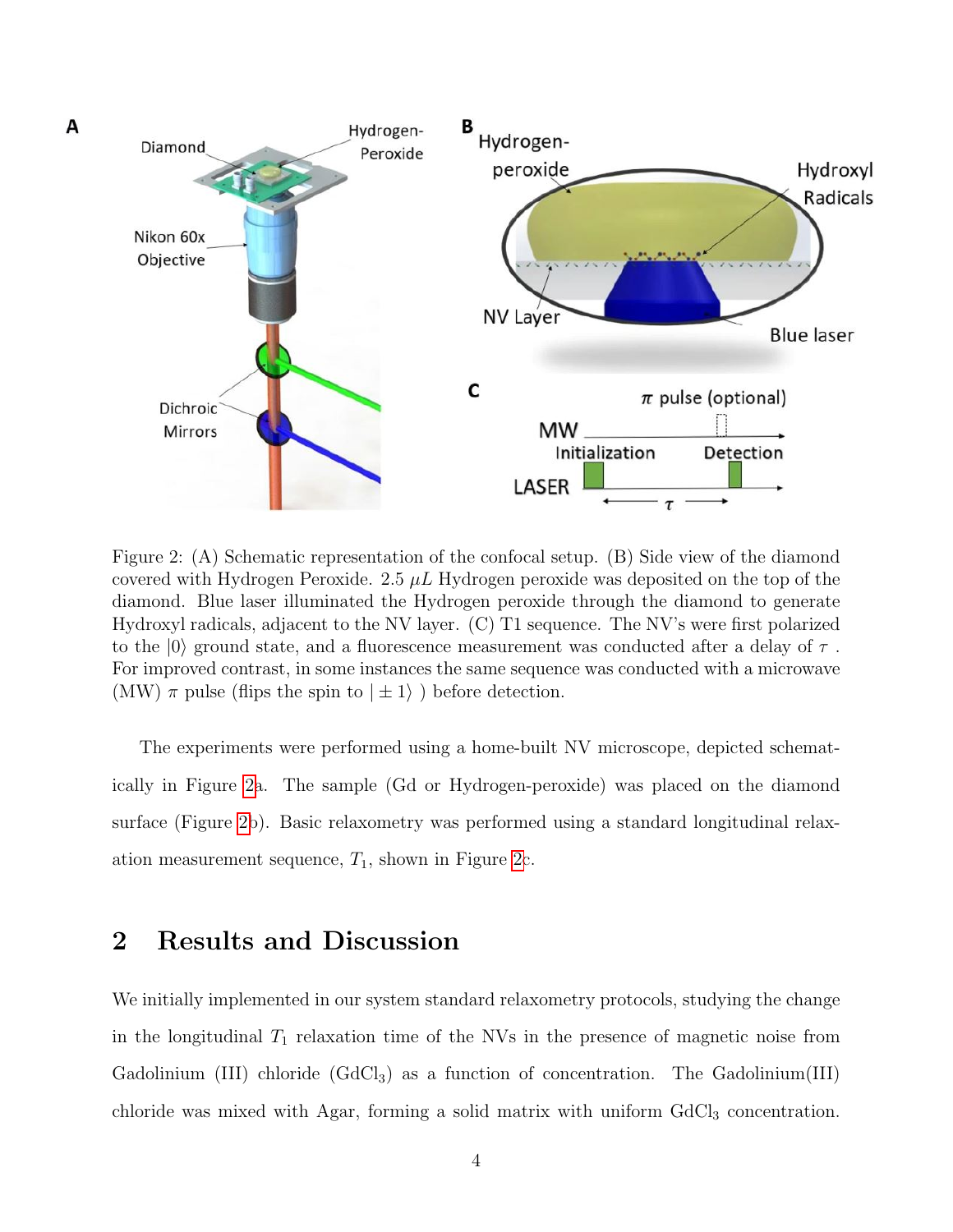<span id="page-3-0"></span>

Figure 2: (A) Schematic representation of the confocal setup. (B) Side view of the diamond covered with Hydrogen Peroxide. 2.5  $\mu$ . Hydrogen peroxide was deposited on the top of the diamond. Blue laser illuminated the Hydrogen peroxide through the diamond to generate Hydroxyl radicals, adjacent to the NV layer. (C) T1 sequence. The NV's were first polarized to the  $|0\rangle$  ground state, and a fluorescence measurement was conducted after a delay of  $\tau$ . For improved contrast, in some instances the same sequence was conducted with a microwave (MW)  $\pi$  pulse (flips the spin to  $|\pm 1\rangle$ ) before detection.

The experiments were performed using a home-built NV microscope, depicted schematically in Figure [2a](#page-3-0). The sample (Gd or Hydrogen-peroxide) was placed on the diamond surface (Figure [2b](#page-3-0)). Basic relaxometry was performed using a standard longitudinal relaxation measurement sequence,  $T_1$ , shown in Figure [2c](#page-3-0).

#### 2 Results and Discussion

We initially implemented in our system standard relaxometry protocols, studying the change in the longitudinal  $T_1$  relaxation time of the NVs in the presence of magnetic noise from Gadolinium (III) chloride  $(GdCl<sub>3</sub>)$  as a function of concentration. The Gadolinium (III) chloride was mixed with Agar, forming a solid matrix with uniform  $GdCl<sub>3</sub>$  concentration.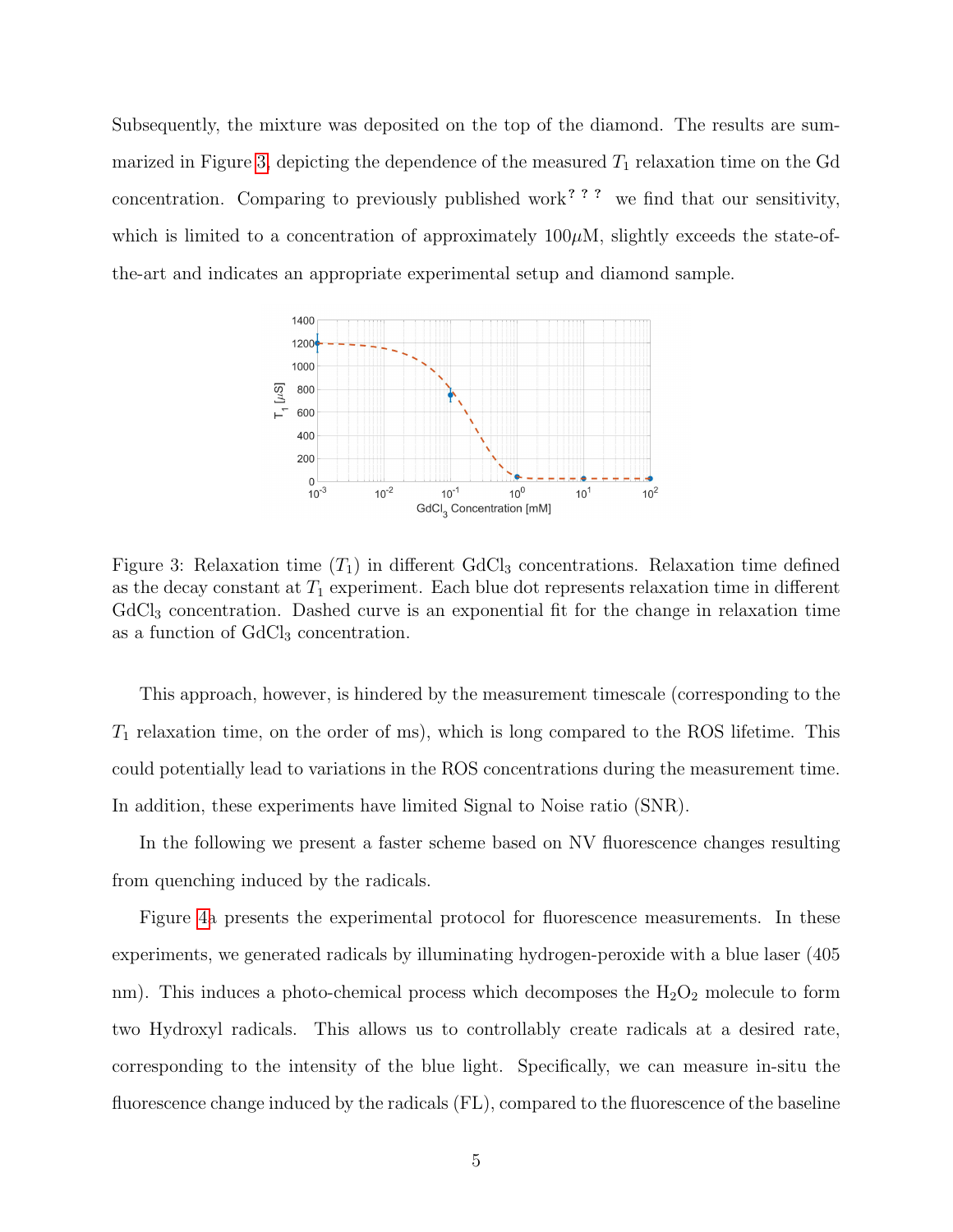Subsequently, the mixture was deposited on the top of the diamond. The results are sum-marized in Figure [3,](#page-4-0) depicting the dependence of the measured  $T_1$  relaxation time on the Gd concentration. Comparing to previously published work<sup>? ? ?</sup> we find that our sensitivity, which is limited to a concentration of approximately  $100\mu$ M, slightly exceeds the state-ofthe-art and indicates an appropriate experimental setup and diamond sample.

<span id="page-4-0"></span>

Figure 3: Relaxation time  $(T_1)$  in different GdCl<sub>3</sub> concentrations. Relaxation time defined as the decay constant at  $T_1$  experiment. Each blue dot represents relaxation time in different  $GdCl<sub>3</sub>$  concentration. Dashed curve is an exponential fit for the change in relaxation time as a function of GdCl<sub>3</sub> concentration.

This approach, however, is hindered by the measurement timescale (corresponding to the  $T_1$  relaxation time, on the order of ms), which is long compared to the ROS lifetime. This could potentially lead to variations in the ROS concentrations during the measurement time. In addition, these experiments have limited Signal to Noise ratio (SNR).

In the following we present a faster scheme based on NV fluorescence changes resulting from quenching induced by the radicals.

Figure [4a](#page-5-0) presents the experimental protocol for fluorescence measurements. In these experiments, we generated radicals by illuminating hydrogen-peroxide with a blue laser (405 nm). This induces a photo-chemical process which decomposes the  $H_2O_2$  molecule to form two Hydroxyl radicals. This allows us to controllably create radicals at a desired rate, corresponding to the intensity of the blue light. Specifically, we can measure in-situ the fluorescence change induced by the radicals (FL), compared to the fluorescence of the baseline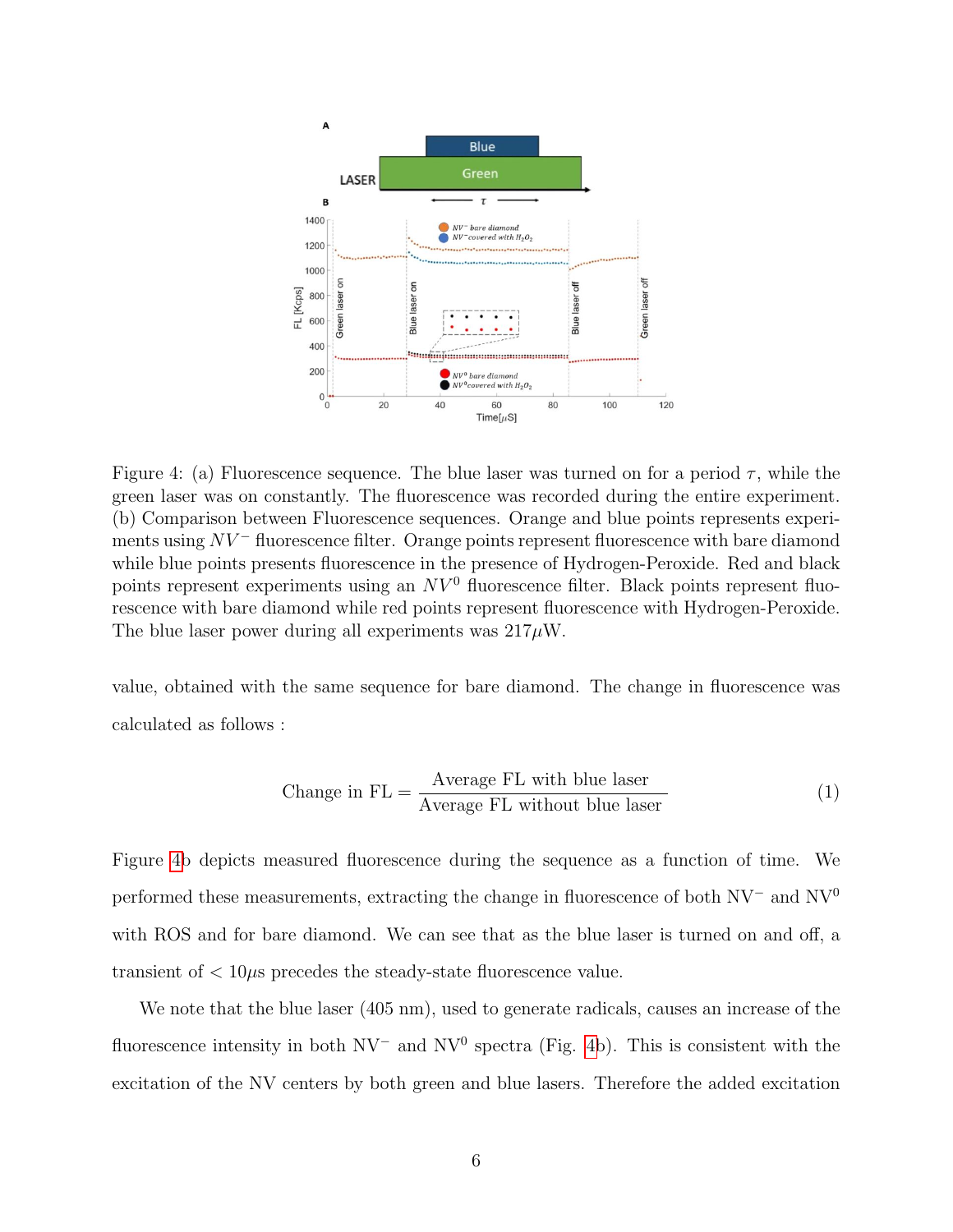<span id="page-5-0"></span>

Figure 4: (a) Fluorescence sequence. The blue laser was turned on for a period  $\tau$ , while the green laser was on constantly. The fluorescence was recorded during the entire experiment. (b) Comparison between Fluorescence sequences. Orange and blue points represents experiments using  $NV^-$  fluorescence filter. Orange points represent fluorescence with bare diamond while blue points presents fluorescence in the presence of Hydrogen-Peroxide. Red and black points represent experiments using an  $NV^0$  fluorescence filter. Black points represent fluorescence with bare diamond while red points represent fluorescence with Hydrogen-Peroxide. The blue laser power during all experiments was  $217 \mu W$ .

value, obtained with the same sequence for bare diamond. The change in fluorescence was calculated as follows :

Change in 
$$
FL = \frac{\text{Average FL with blue laser}}{\text{Average FL without blue laser}}
$$
 (1)

Figure [4b](#page-5-0) depicts measured fluorescence during the sequence as a function of time. We performed these measurements, extracting the change in fluorescence of both NV<sup>−</sup> and NV<sup>0</sup> with ROS and for bare diamond. We can see that as the blue laser is turned on and off, a transient of  $\langle 10 \mu s \rangle$  precedes the steady-state fluorescence value.

We note that the blue laser (405 nm), used to generate radicals, causes an increase of the fluorescence intensity in both  $\rm NV^-$  and  $\rm NV^0$  spectra (Fig. [4b](#page-5-0)). This is consistent with the excitation of the NV centers by both green and blue lasers. Therefore the added excitation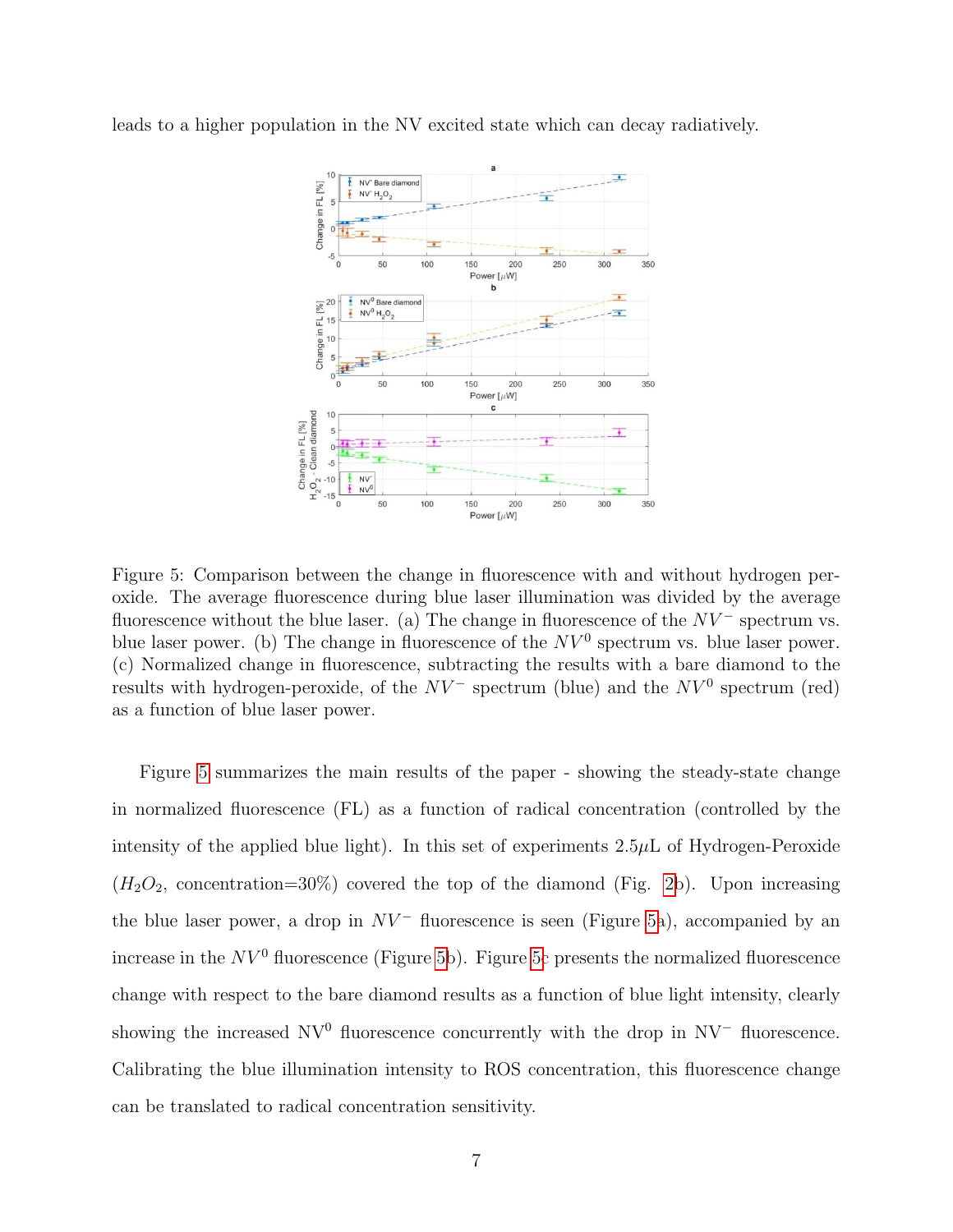<span id="page-6-0"></span>leads to a higher population in the NV excited state which can decay radiatively.



Figure 5: Comparison between the change in fluorescence with and without hydrogen peroxide. The average fluorescence during blue laser illumination was divided by the average fluorescence without the blue laser. (a) The change in fluorescence of the  $NV^-$  spectrum vs. blue laser power. (b) The change in fluorescence of the  $NV^0$  spectrum vs. blue laser power. (c) Normalized change in fluorescence, subtracting the results with a bare diamond to the results with hydrogen-peroxide, of the  $NV^-$  spectrum (blue) and the  $NV^0$  spectrum (red) as a function of blue laser power.

Figure [5](#page-6-0) summarizes the main results of the paper - showing the steady-state change in normalized fluorescence (FL) as a function of radical concentration (controlled by the intensity of the applied blue light). In this set of experiments 2.5µL of Hydrogen-Peroxide  $(H_2O_2,$  concentration=30%) covered the top of the diamond (Fig. [2b](#page-3-0)). Upon increasing the blue laser power, a drop in  $NV^-$  fluorescence is seen (Figure [5a](#page-6-0)), accompanied by an increase in the  $NV^0$  fluorescence (Figure [5b](#page-6-0)). Figure [5c](#page-6-0) presents the normalized fluorescence change with respect to the bare diamond results as a function of blue light intensity, clearly showing the increased  $\text{NV}^0$  fluorescence concurrently with the drop in  $\text{NV}^-$  fluorescence. Calibrating the blue illumination intensity to ROS concentration, this fluorescence change can be translated to radical concentration sensitivity.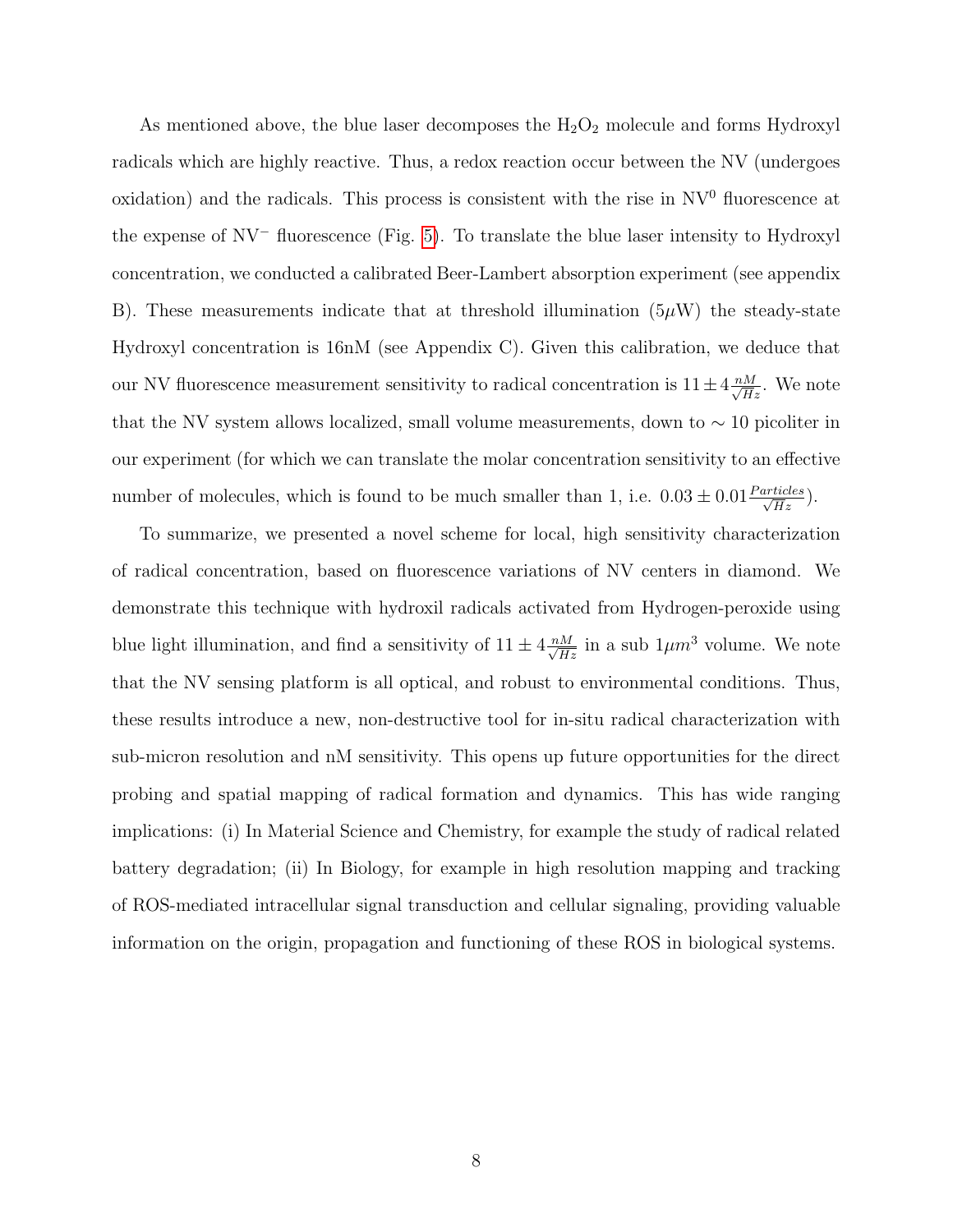As mentioned above, the blue laser decomposes the  $H_2O_2$  molecule and forms Hydroxyl radicals which are highly reactive. Thus, a redox reaction occur between the NV (undergoes oxidation) and the radicals. This process is consistent with the rise in  $\mathrm{NV}^0$  fluorescence at the expense of NV<sup>−</sup> fluorescence (Fig. [5\)](#page-6-0). To translate the blue laser intensity to Hydroxyl concentration, we conducted a calibrated Beer-Lambert absorption experiment (see appendix B). These measurements indicate that at threshold illumination  $(5\mu W)$  the steady-state Hydroxyl concentration is 16nM (see Appendix C). Given this calibration, we deduce that our NV fluorescence measurement sensitivity to radical concentration is  $11 \pm 4 \frac{nM}{\sqrt{H}z}$ . We note that the NV system allows localized, small volume measurements, down to  $\sim 10$  picoliter in our experiment (for which we can translate the molar concentration sensitivity to an effective number of molecules, which is found to be much smaller than 1, i.e.  $0.03 \pm 0.01 \frac{Particles}{\sqrt{Hz}}$ .

To summarize, we presented a novel scheme for local, high sensitivity characterization of radical concentration, based on fluorescence variations of NV centers in diamond. We demonstrate this technique with hydroxil radicals activated from Hydrogen-peroxide using blue light illumination, and find a sensitivity of  $11 \pm 4 \frac{nM}{\sqrt{Hz}}$  in a sub  $1 \mu m^3$  volume. We note that the NV sensing platform is all optical, and robust to environmental conditions. Thus, these results introduce a new, non-destructive tool for in-situ radical characterization with sub-micron resolution and nM sensitivity. This opens up future opportunities for the direct probing and spatial mapping of radical formation and dynamics. This has wide ranging implications: (i) In Material Science and Chemistry, for example the study of radical related battery degradation; (ii) In Biology, for example in high resolution mapping and tracking of ROS-mediated intracellular signal transduction and cellular signaling, providing valuable information on the origin, propagation and functioning of these ROS in biological systems.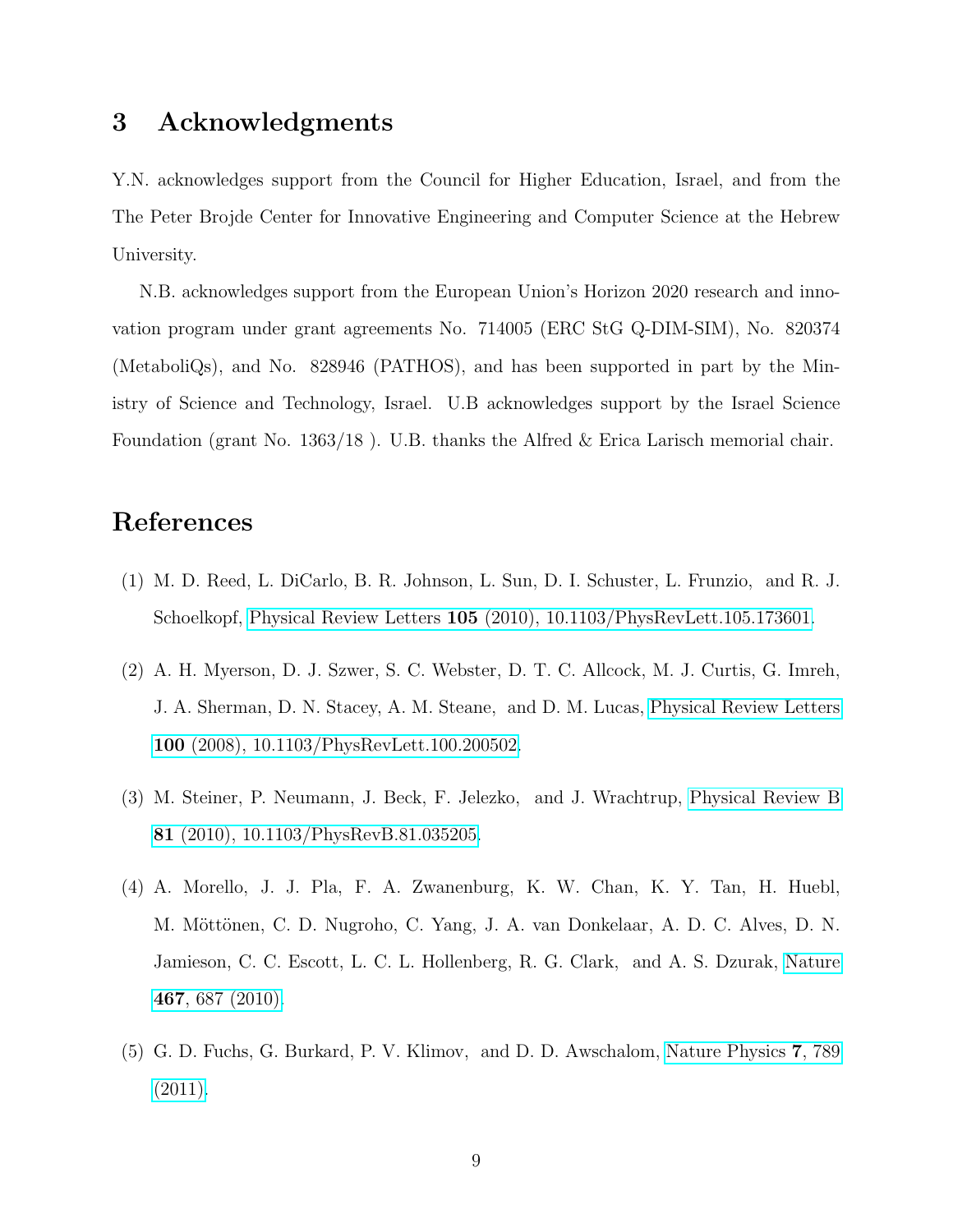## 3 Acknowledgments

Y.N. acknowledges support from the Council for Higher Education, Israel, and from the The Peter Brojde Center for Innovative Engineering and Computer Science at the Hebrew University.

N.B. acknowledges support from the European Union's Horizon 2020 research and innovation program under grant agreements No. 714005 (ERC StG Q-DIM-SIM), No. 820374 (MetaboliQs), and No. 828946 (PATHOS), and has been supported in part by the Ministry of Science and Technology, Israel. U.B acknowledges support by the Israel Science Foundation (grant No. 1363/18 ). U.B. thanks the Alfred & Erica Larisch memorial chair.

#### References

- (1) M. D. Reed, L. DiCarlo, B. R. Johnson, L. Sun, D. I. Schuster, L. Frunzio, and R. J. Schoelkopf, Physical Review Letters 105 [\(2010\), 10.1103/PhysRevLett.105.173601.](http://dx.doi.org/ 10.1103/PhysRevLett.105.173601)
- (2) A. H. Myerson, D. J. Szwer, S. C. Webster, D. T. C. Allcock, M. J. Curtis, G. Imreh, J. A. Sherman, D. N. Stacey, A. M. Steane, and D. M. Lucas, [Physical Review Letters](http://dx.doi.org/10.1103/PhysRevLett.100.200502) 100 [\(2008\), 10.1103/PhysRevLett.100.200502.](http://dx.doi.org/10.1103/PhysRevLett.100.200502)
- (3) M. Steiner, P. Neumann, J. Beck, F. Jelezko, and J. Wrachtrup, [Physical Review B](http://dx.doi.org/ 10.1103/PhysRevB.81.035205) 81 [\(2010\), 10.1103/PhysRevB.81.035205.](http://dx.doi.org/ 10.1103/PhysRevB.81.035205)
- (4) A. Morello, J. J. Pla, F. A. Zwanenburg, K. W. Chan, K. Y. Tan, H. Huebl, M. Möttönen, C. D. Nugroho, C. Yang, J. A. van Donkelaar, A. D. C. Alves, D. N. Jamieson, C. C. Escott, L. C. L. Hollenberg, R. G. Clark, and A. S. Dzurak, [Nature](http://dx.doi.org/ 10.1038/nature09392) 467[, 687 \(2010\).](http://dx.doi.org/ 10.1038/nature09392)
- (5) G. D. Fuchs, G. Burkard, P. V. Klimov, and D. D. Awschalom, [Nature Physics](http://dx.doi.org/10.1038/nphys2026) 7, 789  $(2011).$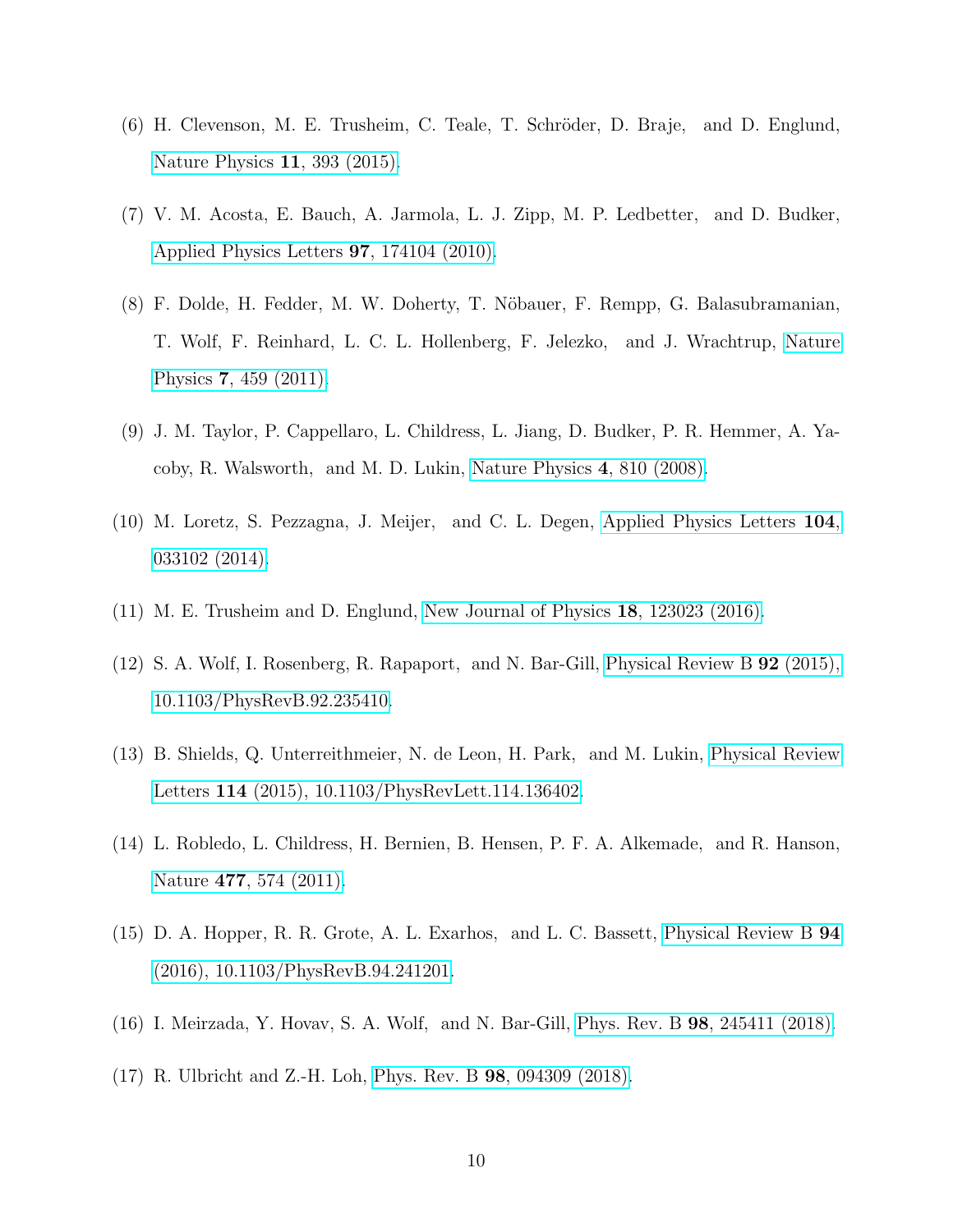- (6) H. Clevenson, M. E. Trusheim, C. Teale, T. Schröder, D. Braje, and D. Englund, [Nature Physics](http://dx.doi.org/ 10.1038/nphys3291) 11, 393 (2015).
- (7) V. M. Acosta, E. Bauch, A. Jarmola, L. J. Zipp, M. P. Ledbetter, and D. Budker, [Applied Physics Letters](http://dx.doi.org/ 10.1063/1.3507884) 97, 174104 (2010).
- (8) F. Dolde, H. Fedder, M. W. Doherty, T. N¨obauer, F. Rempp, G. Balasubramanian, T. Wolf, F. Reinhard, L. C. L. Hollenberg, F. Jelezko, and J. Wrachtrup, [Nature](http://dx.doi.org/10.1038/nphys1969) Physics 7[, 459 \(2011\).](http://dx.doi.org/10.1038/nphys1969)
- (9) J. M. Taylor, P. Cappellaro, L. Childress, L. Jiang, D. Budker, P. R. Hemmer, A. Yacoby, R. Walsworth, and M. D. Lukin, [Nature Physics](http://dx.doi.org/10.1038/nphys1075) 4, 810 (2008).
- (10) M. Loretz, S. Pezzagna, J. Meijer, and C. L. Degen, [Applied Physics Letters](http://dx.doi.org/ 10.1063/1.4862749) 104, [033102 \(2014\).](http://dx.doi.org/ 10.1063/1.4862749)
- (11) M. E. Trusheim and D. Englund, [New Journal of Physics](http://dx.doi.org/10.1088/1367-2630/aa5040) 18, 123023 (2016).
- (12) S. A. Wolf, I. Rosenberg, R. Rapaport, and N. Bar-Gill, [Physical Review B](http://dx.doi.org/10.1103/PhysRevB.92.235410) 92 (2015), [10.1103/PhysRevB.92.235410.](http://dx.doi.org/10.1103/PhysRevB.92.235410)
- (13) B. Shields, Q. Unterreithmeier, N. de Leon, H. Park, and M. Lukin, [Physical Review](http://dx.doi.org/10.1103/PhysRevLett.114.136402) Letters 114 [\(2015\), 10.1103/PhysRevLett.114.136402.](http://dx.doi.org/10.1103/PhysRevLett.114.136402)
- (14) L. Robledo, L. Childress, H. Bernien, B. Hensen, P. F. A. Alkemade, and R. Hanson, Nature 477[, 574 \(2011\).](http://dx.doi.org/ 10.1038/nature10401)
- (15) D. A. Hopper, R. R. Grote, A. L. Exarhos, and L. C. Bassett, [Physical Review B](http://dx.doi.org/10.1103/PhysRevB.94.241201) 94 [\(2016\), 10.1103/PhysRevB.94.241201.](http://dx.doi.org/10.1103/PhysRevB.94.241201)
- (16) I. Meirzada, Y. Hovav, S. A. Wolf, and N. Bar-Gill, Phys. Rev. B 98[, 245411 \(2018\).](http://dx.doi.org/10.1103/PhysRevB.98.245411)
- (17) R. Ulbricht and Z.-H. Loh, Phys. Rev. B 98[, 094309 \(2018\).](http://dx.doi.org/10.1103/PhysRevB.98.094309)